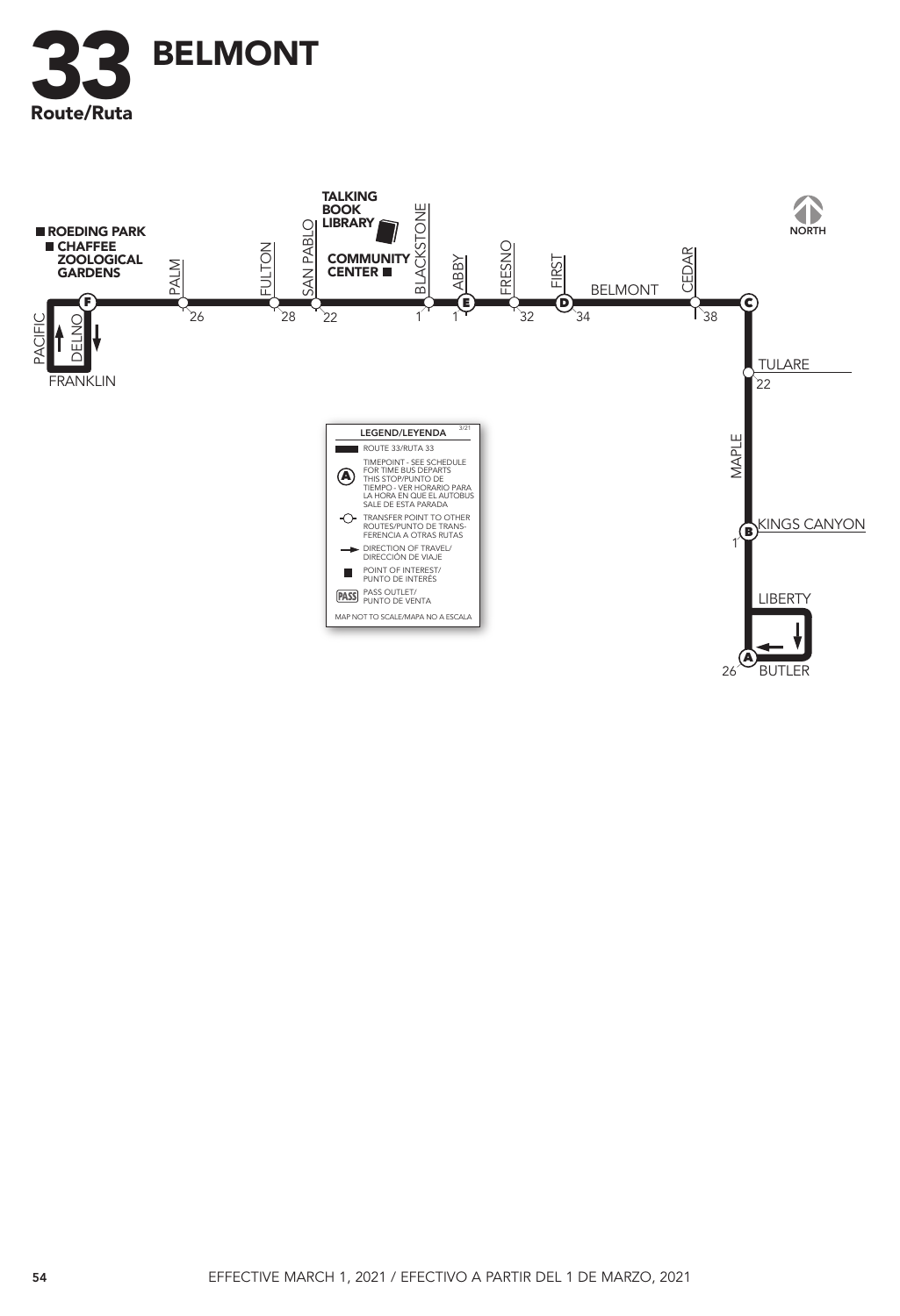

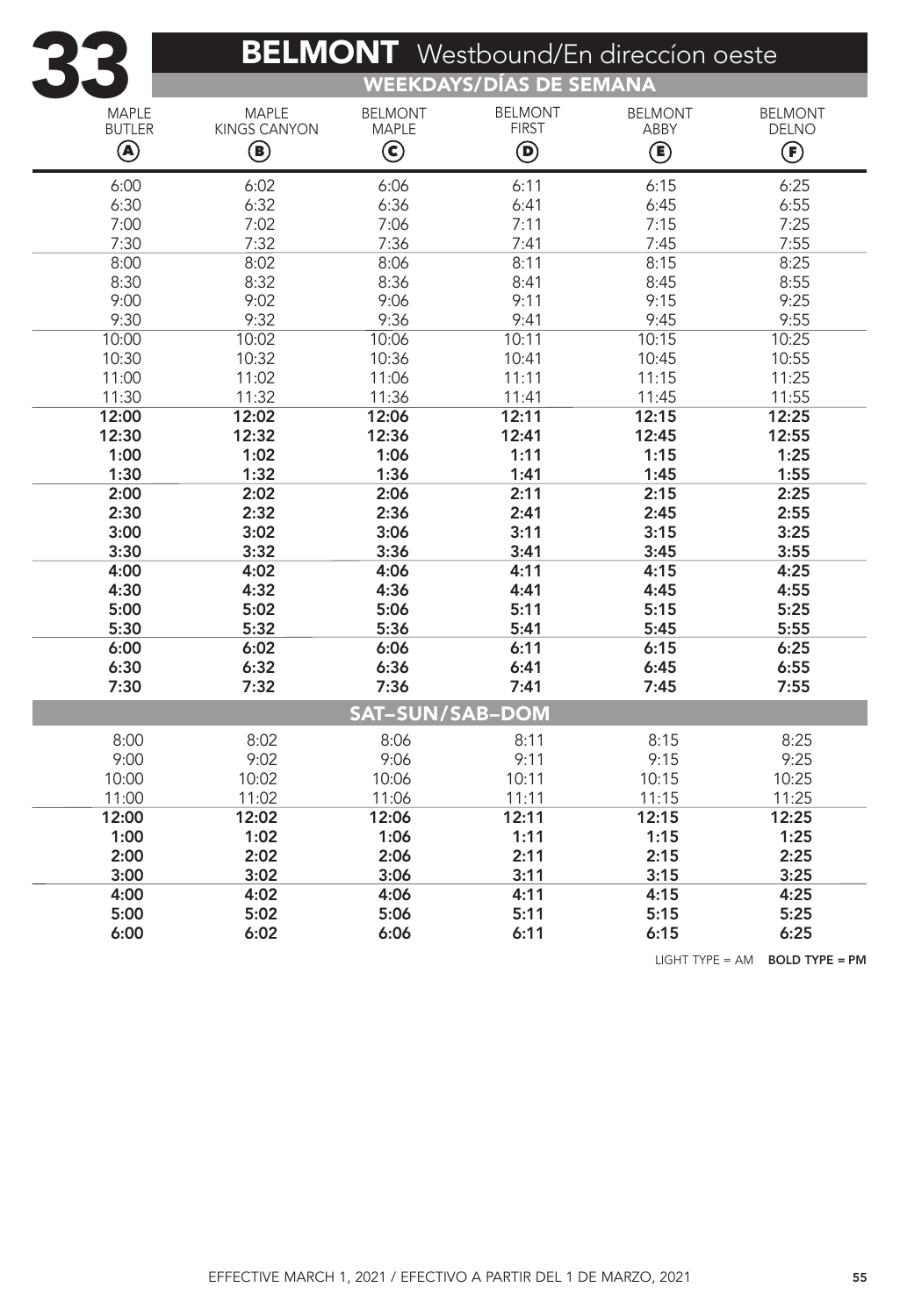|                        | <b>BELMONT</b> Westbound/En direccion oeste<br>WEEKDAYS/DÍAS DE SEMANA |                                      |                     |                |                |  |  |  |  |
|------------------------|------------------------------------------------------------------------|--------------------------------------|---------------------|----------------|----------------|--|--|--|--|
| <b>MAPLE</b>           | <b>MAPLE</b>                                                           | <b>BELMONT</b>                       | <b>BELMONT</b>      | <b>BELMONT</b> | <b>BELMONT</b> |  |  |  |  |
| <b>BUTLER</b>          | <b>KINGS CANYON</b>                                                    | <b>MAPLE</b>                         | <b>FIRST</b>        | ABBY           | <b>DELNO</b>   |  |  |  |  |
| Q)                     | $\bf{G}$                                                               | $\left( \widehat{\mathbf{c}}\right)$ | $\bf{(\mathbf{p})}$ | ◉              | $\bf{(\bf F)}$ |  |  |  |  |
| 6:00                   | 6:02                                                                   | 6:06                                 | 6:11                | 6:15           | 6:25           |  |  |  |  |
| 6:30                   | 6:32                                                                   | 6:36                                 | 6:41                | 6:45           | 6:55           |  |  |  |  |
| 7:00                   | 7:02                                                                   | 7:06                                 | 7:11                | 7:15           | 7:25           |  |  |  |  |
| 7:30                   | 7:32                                                                   | 7:36                                 | 7:41                | 7:45           | 7:55           |  |  |  |  |
| 8:00                   | 8:02                                                                   | 8:06                                 | 8:11                | 8:15           | 8:25           |  |  |  |  |
| 8:30                   | 8:32                                                                   | 8:36                                 | 8:41                | 8:45           | 8:55           |  |  |  |  |
| 9:00                   | 9:02                                                                   | 9:06                                 | 9:11                | 9:15           | 9:25           |  |  |  |  |
| 9:30                   | 9:32                                                                   | 9:36                                 | 9:41                | 9:45           | 9:55           |  |  |  |  |
| 10:00                  | 10:02                                                                  | 10:06                                | 10:11               | 10:15          | 10:25          |  |  |  |  |
| 10:30                  | 10:32                                                                  | 10:36                                | 10:41               | 10:45          | 10:55          |  |  |  |  |
| 11:00                  | 11:02                                                                  | 11:06                                | 11:11               | 11:15          | 11:25          |  |  |  |  |
| 11:30                  | 11:32                                                                  | 11:36                                | 11:41               | 11:45          | 11:55          |  |  |  |  |
| 12:00                  | 12:02                                                                  | 12:06                                | 12:11               | 12:15          | 12:25          |  |  |  |  |
| 12:30                  | 12:32                                                                  | 12:36                                | 12:41               | 12:45          | 12:55          |  |  |  |  |
| 1:00                   | 1:02                                                                   | 1:06                                 | 1:11                | 1:15           | 1:25           |  |  |  |  |
| 1:30                   | 1:32                                                                   | 1:36                                 | 1:41                | 1:45           | 1:55           |  |  |  |  |
| 2:00                   | 2:02                                                                   | 2:06                                 | 2:11                | 2:15           | 2:25           |  |  |  |  |
| 2:30                   | 2:32                                                                   | 2:36                                 | 2:41                | 2:45           | 2:55           |  |  |  |  |
| 3:00                   | 3:02                                                                   | 3:06                                 | 3:11                | 3:15           | 3:25           |  |  |  |  |
| 3:30                   | 3:32                                                                   | 3:36                                 | 3:41                | 3:45           | 3:55           |  |  |  |  |
| 4:00                   | 4:02                                                                   | 4:06                                 | 4:11                | 4:15           | 4:25           |  |  |  |  |
| 4:30                   | 4:32                                                                   | 4:36                                 | 4:41                | 4:45           | 4:55           |  |  |  |  |
| 5:00                   | 5:02                                                                   | 5:06                                 | 5:11                | 5:15           | 5:25           |  |  |  |  |
| 5:30                   | 5:32                                                                   | 5:36                                 | 5:41                | 5:45           | 5:55           |  |  |  |  |
| 6:00                   | 6:02                                                                   | 6:06                                 | 6:11                | 6:15           | 6:25           |  |  |  |  |
| 6:30                   | 6:32                                                                   | 6:36                                 | 6:41                | 6:45           | 6:55           |  |  |  |  |
| 7:30                   | 7:32                                                                   | 7:36                                 | 7:41                | 7:45           | 7:55           |  |  |  |  |
| <b>SAT-SUN/SAB-DOM</b> |                                                                        |                                      |                     |                |                |  |  |  |  |
| 8:00                   | 8:02                                                                   | 8:06                                 | 8:11                | 8:15           | 8:25           |  |  |  |  |
| 9:00                   | 9:02                                                                   | 9:06                                 | 9:11                | 9:15           | 9:25           |  |  |  |  |
| 10:00                  | 10:02                                                                  | 10:06                                | 10:11               | 10:15          | 10:25          |  |  |  |  |
| 11:00                  | 11:02                                                                  | 11:06                                | 11:11               | 11:15          | 11:25          |  |  |  |  |
| 12:00                  | 12:02                                                                  | 12:06                                | 12:11               | 12:15          | 12:25          |  |  |  |  |
| 1:00                   | 1:02                                                                   | 1:06                                 | 1:11                | 1:15           | 1:25           |  |  |  |  |
| 2:00                   | 2:02                                                                   | 2:06                                 | 2:11                | 2:15           | 2:25           |  |  |  |  |
| 3:00                   | 3:02                                                                   | 3:06                                 | 3:11                | 3:15           | 3:25           |  |  |  |  |
| 4:00                   | 4:02                                                                   | 4:06                                 | 4:11                | 4:15           | 4:25           |  |  |  |  |
| 5:00                   | 5:02                                                                   | 5:06                                 | 5:11                | 5:15           | 5:25           |  |  |  |  |
| 6:00                   | 6:02                                                                   | 6:06                                 | 6:11                | 6:15           | 6:25           |  |  |  |  |
|                        |                                                                        |                                      |                     |                |                |  |  |  |  |

LIGHT TYPE = AM BOLD TYPE = PM